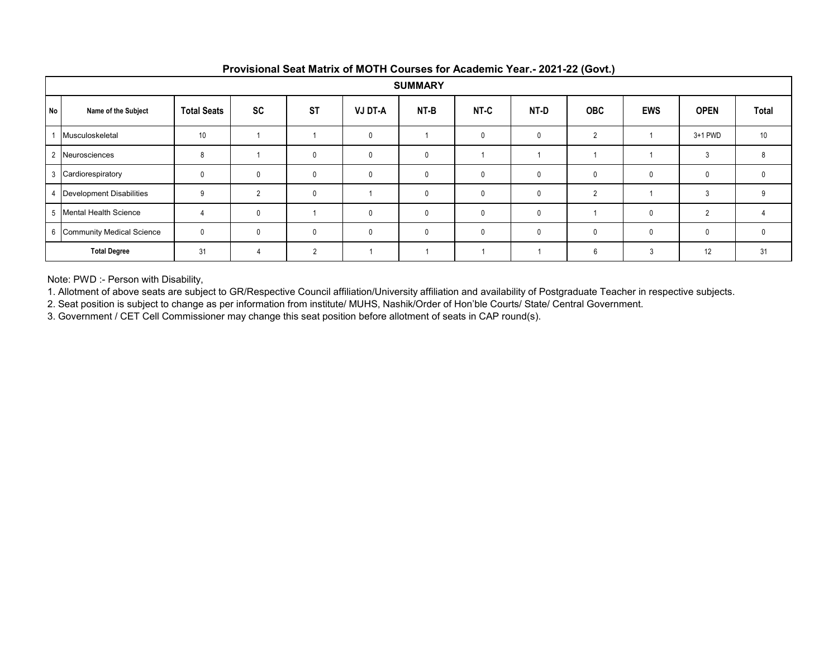|           | <b>SUMMARY</b>              |                    |              |           |                |              |              |              |            |              |              |          |  |
|-----------|-----------------------------|--------------------|--------------|-----------|----------------|--------------|--------------|--------------|------------|--------------|--------------|----------|--|
| <b>No</b> | Name of the Subject         | <b>Total Seats</b> | <b>SC</b>    | <b>ST</b> | <b>VJ DT-A</b> | NT-B         | NT-C         | NT-D         | <b>OBC</b> | <b>EWS</b>   | <b>OPEN</b>  | Total    |  |
|           | Musculoskeletal             | 10                 |              |           |                |              | $\mathbf{0}$ | $\mathbf{0}$ | C          |              | $3+1$ PWD    | 10       |  |
|           | Neurosciences               | <sub>8</sub>       |              | $\Omega$  |                |              |              |              |            |              |              | 8        |  |
|           | 3 Cardiorespiratory         |                    | $\mathbf{0}$ | 0         |                | $\mathbf{0}$ | $\mathbf{0}$ | $\mathbf{0}$ |            | $\mathbf{0}$ | $\mathbf{0}$ | $\Omega$ |  |
|           | Development Disabilities    |                    |              | 0         |                | 0            | $\mathbf 0$  | $\mathbf 0$  | ŋ          |              |              | 9        |  |
|           | 5 Mental Health Science     |                    | 0            |           |                | 0            | $\mathbf{0}$ | 0            |            | $\mathbf{0}$ |              |          |  |
|           | 6 Community Medical Science | $\mathbf{0}$       | $\Omega$     | $\Omega$  |                | 0            | $\mathbf{0}$ | $\mathbf{0}$ |            | $\mathbf 0$  | $\mathbf{0}$ |          |  |
|           | <b>Total Degree</b>         | 31                 |              | $\Omega$  |                |              |              |              | ĥ          | 3            | 12           | 31       |  |

Note: PWD :- Person with Disability,

1. Allotment of above seats are subject to GR/Respective Council affiliation/University affiliation and availability of Postgraduate Teacher in respective subjects.

2. Seat position is subject to change as per information from institute/ MUHS, Nashik/Order of Hon'ble Courts/ State/ Central Government.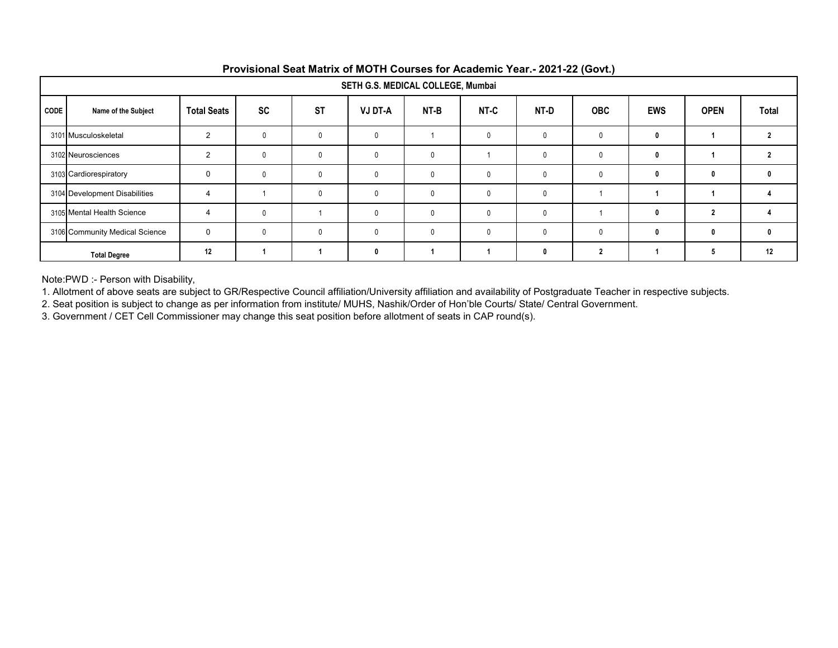|             | SETH G.S. MEDICAL COLLEGE, Mumbai              |                       |           |              |                |      |              |              |              |            |             |       |  |
|-------------|------------------------------------------------|-----------------------|-----------|--------------|----------------|------|--------------|--------------|--------------|------------|-------------|-------|--|
| <b>CODE</b> | Name of the Subject                            | <b>Total Seats</b>    | <b>SC</b> | <b>ST</b>    | <b>VJ DT-A</b> | NT-B | NT-C         | NT-D         | <b>OBC</b>   | <b>EWS</b> | <b>OPEN</b> | Total |  |
|             | 3101 Musculoskeletal                           | 2                     | $\Omega$  | $\Omega$     | $\mathbf{0}$   |      |              | $\mathbf{0}$ | $\mathbf{0}$ | -0         |             |       |  |
|             | 3102 Neurosciences                             | $\overline{2}$        |           | $\Omega$     | 0              |      |              | $\Omega$     | $\Omega$     | 0          |             |       |  |
|             | 3103 Cardiorespiratory                         | $\mathbf 0$           |           | $\Omega$     | 0              |      | $\mathbf{0}$ | 0            | $\mathbf{0}$ |            | 0           |       |  |
|             | 3104 Development Disabilities                  | Δ                     |           | $\mathbf{0}$ | $\mathbf{0}$   |      | 0            | $\mathbf{0}$ |              |            |             |       |  |
|             | 3105 Mental Health Science                     | $\boldsymbol{\Delta}$ |           |              |                |      | 0            | $\Omega$     |              |            |             |       |  |
|             | 3106 Community Medical Science                 | $\mathbf 0$           |           | $\Omega$     |                |      |              | $\Omega$     |              | ſ          | 0           |       |  |
|             | 12<br>12<br>2<br>O<br>л<br><b>Total Degree</b> |                       |           |              |                |      |              |              |              |            |             |       |  |

Note:PWD :- Person with Disability,

1. Allotment of above seats are subject to GR/Respective Council affiliation/University affiliation and availability of Postgraduate Teacher in respective subjects.

2. Seat position is subject to change as per information from institute/ MUHS, Nashik/Order of Hon'ble Courts/ State/ Central Government.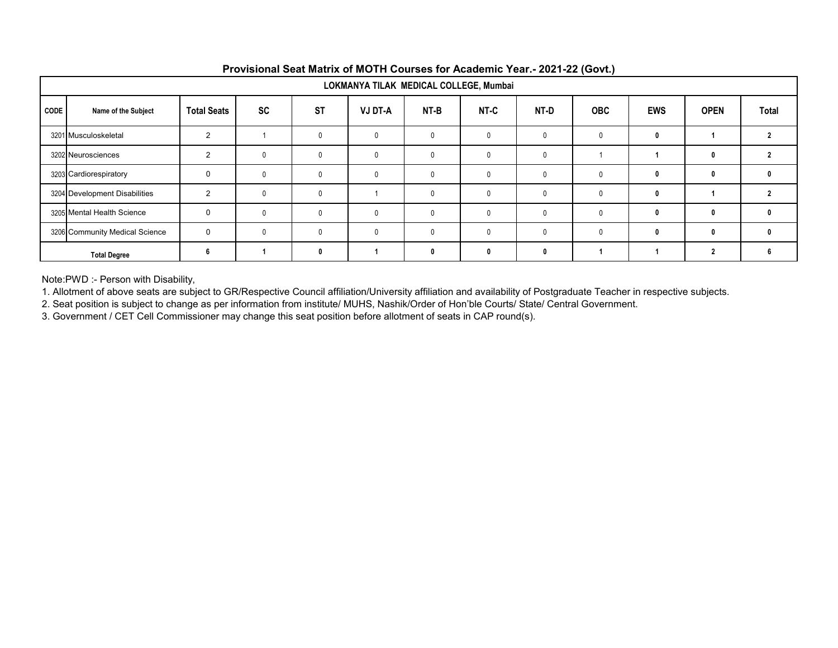|             | $\sim$ $\sim$<br>LOKMANYA TILAK MEDICAL COLLEGE, Mumbai |                    |           |           |                |              |              |           |              |            |              |       |  |  |
|-------------|---------------------------------------------------------|--------------------|-----------|-----------|----------------|--------------|--------------|-----------|--------------|------------|--------------|-------|--|--|
| <b>CODE</b> | Name of the Subject                                     | <b>Total Seats</b> | <b>SC</b> | <b>ST</b> | <b>VJ DT-A</b> | NT-B         | NT-C         | NT-D      | <b>OBC</b>   | <b>EWS</b> | <b>OPEN</b>  | Total |  |  |
|             | 3201 Musculoskeletal                                    | $\overline{2}$     |           | $\Omega$  |                | $\Omega$     |              |           | 0            |            |              |       |  |  |
|             | 3202 Neurosciences                                      | $\overline{2}$     | 0         | $\Omega$  |                | $\mathbf{0}$ | 0            |           |              |            | 0            |       |  |  |
|             | 3203 Cardiorespiratory                                  | 0                  | 0         | $\Omega$  |                | $\mathbf{0}$ | $\mathbf{0}$ | 0         | $\mathbf{0}$ |            | 0            | 0     |  |  |
|             | 3204 Development Disabilities                           | $\mathcal{P}$      | 0         | $\Omega$  |                | $\mathbf{0}$ | 0            |           |              |            |              |       |  |  |
|             | 3205 Mental Health Science                              | $\Omega$           | $\Omega$  | $\Omega$  |                | $\Omega$     |              |           | $\Omega$     |            | 0            |       |  |  |
|             | 3206 Community Medical Science                          | $\Omega$           | $\Omega$  | $\Omega$  |                | $\mathsf{O}$ | 0            | $\bigcap$ |              |            | $\mathbf{0}$ |       |  |  |
|             | <b>Total Degree</b>                                     | ĥ                  |           |           |                |              |              | n         |              |            | 2            |       |  |  |

Note:PWD :- Person with Disability,

1. Allotment of above seats are subject to GR/Respective Council affiliation/University affiliation and availability of Postgraduate Teacher in respective subjects.

2. Seat position is subject to change as per information from institute/ MUHS, Nashik/Order of Hon'ble Courts/ State/ Central Government.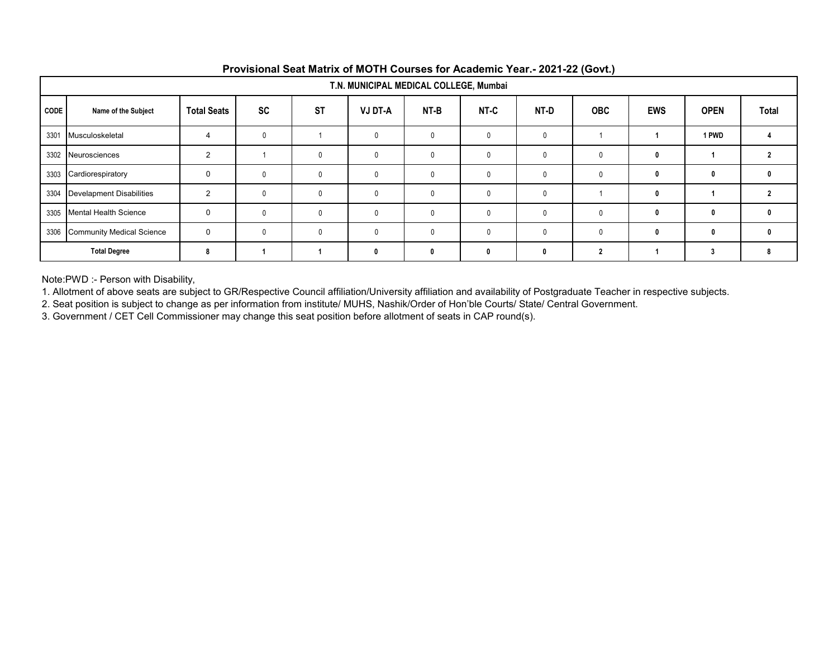|      | $\mathbf{v}$ . The same $\mathbf{v}$<br>T.N. MUNICIPAL MEDICAL COLLEGE, Mumbai |                    |              |              |                |              |              |              |            |            |             |              |  |
|------|--------------------------------------------------------------------------------|--------------------|--------------|--------------|----------------|--------------|--------------|--------------|------------|------------|-------------|--------------|--|
| CODE | Name of the Subject                                                            | <b>Total Seats</b> | <b>SC</b>    | <b>ST</b>    | <b>VJ DT-A</b> | NT-B         | NT-C         | NT-D         | <b>OBC</b> | <b>EWS</b> | <b>OPEN</b> | <b>Total</b> |  |
| 3301 | Musculoskeletal                                                                | $\overline{4}$     | $\Omega$     |              |                | $\mathbf{0}$ | 0            | 0            |            |            | 1 PWD       |              |  |
| 3302 | Neurosciences                                                                  | $\overline{2}$     |              | $\Omega$     |                | $\mathbf{0}$ | $\mathbf{0}$ |              | 0          | 0          |             |              |  |
| 3303 | Cardiorespiratory                                                              | $\mathbf 0$        | $\mathbf{0}$ | $\mathbf{0}$ | $\Omega$       | $\mathbf{0}$ | 0            | $\mathbf{0}$ | 0          |            | 0           | 0            |  |
| 3304 | <b>Develapment Disabilities</b>                                                | $\mathcal{P}$      | $\Omega$     | $\Omega$     |                | $\mathbf{0}$ |              |              |            |            |             |              |  |
| 3305 | <b>Mental Health Science</b>                                                   | $\Omega$           |              | $\Omega$     |                |              | 0            |              | 0          |            | 0           |              |  |
| 3306 | <b>Community Medical Science</b>                                               | 0                  | $\Omega$     | $\Omega$     | $\Omega$       | $\mathbf{0}$ | $\mathbf{0}$ | $\cap$       |            |            | 0           | n            |  |
|      | <b>Total Degree</b>                                                            | 8                  |              |              | n              | $\mathbf{0}$ | n            | $\mathbf{r}$ |            |            | 3           | 8            |  |

Note:PWD :- Person with Disability,

1. Allotment of above seats are subject to GR/Respective Council affiliation/University affiliation and availability of Postgraduate Teacher in respective subjects.

2. Seat position is subject to change as per information from institute/ MUHS, Nashik/Order of Hon'ble Courts/ State/ Central Government.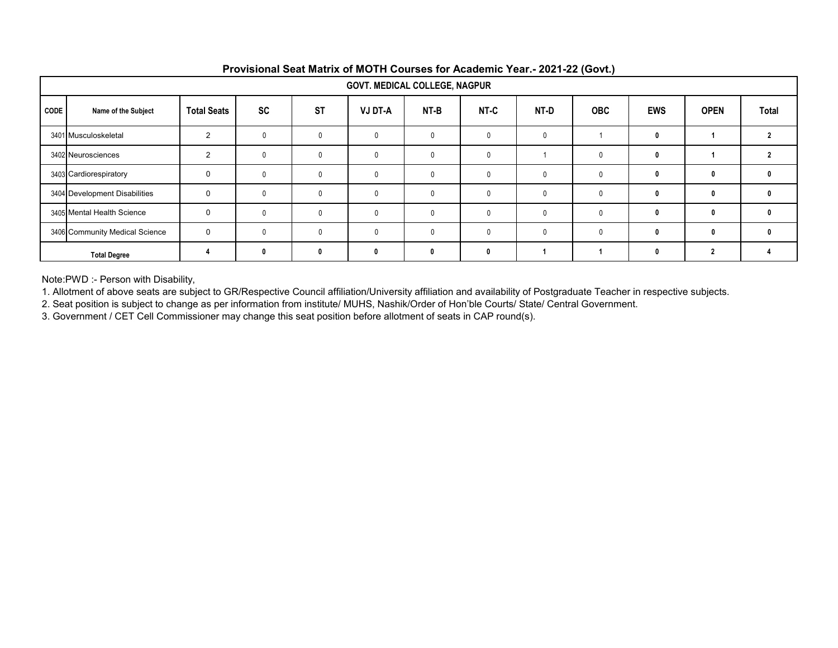|             | $\sim$<br><b>GOVT. MEDICAL COLLEGE, NAGPUR</b> |                    |           |              |                |          |      |              |              |            |             |              |  |
|-------------|------------------------------------------------|--------------------|-----------|--------------|----------------|----------|------|--------------|--------------|------------|-------------|--------------|--|
| <b>CODE</b> | Name of the Subject                            | <b>Total Seats</b> | <b>SC</b> | <b>ST</b>    | <b>VJ DT-A</b> | NT-B     | NT-C | NT-D         | <b>OBC</b>   | <b>EWS</b> | <b>OPEN</b> | Total        |  |
|             | 3401 Musculoskeletal                           | 2                  |           | $\Omega$     | 0              |          |      | $\mathbf{0}$ |              | 0          |             |              |  |
|             | 3402 Neurosciences                             | 2                  | 0         | $\mathbf{0}$ | 0              |          | 0    |              | $\mathbf{0}$ | 0          |             |              |  |
|             | 3403 Cardiorespiratory                         | $\mathbf 0$        |           | $\mathbf{0}$ | 0              | $\Omega$ | 0    | $\mathbf{0}$ | $\mathbf{0}$ | 0          | 0           | 0            |  |
|             | 3404 Development Disabilities                  | $\mathbf 0$        | $\Omega$  | $\mathbf{0}$ | $\Omega$       |          | 0    | $\mathbf{0}$ | $\Omega$     | O          | 0           | $\mathbf{0}$ |  |
|             | 3405 Mental Health Science                     | $\mathbf 0$        |           | $\Omega$     | 0              |          | 0    | 0            | $\Omega$     |            | 0           | n            |  |
|             | 3406 Community Medical Science                 | $\mathbf 0$        | $\Omega$  | $\Omega$     | <sup>0</sup>   |          |      | $\Omega$     | 0            | O          | 0           | n            |  |
|             | <b>Total Degree</b>                            |                    | n         | $\mathbf{0}$ |                |          |      |              |              | O          |             |              |  |

Note:PWD :- Person with Disability,

1. Allotment of above seats are subject to GR/Respective Council affiliation/University affiliation and availability of Postgraduate Teacher in respective subjects.

2. Seat position is subject to change as per information from institute/ MUHS, Nashik/Order of Hon'ble Courts/ State/ Central Government.